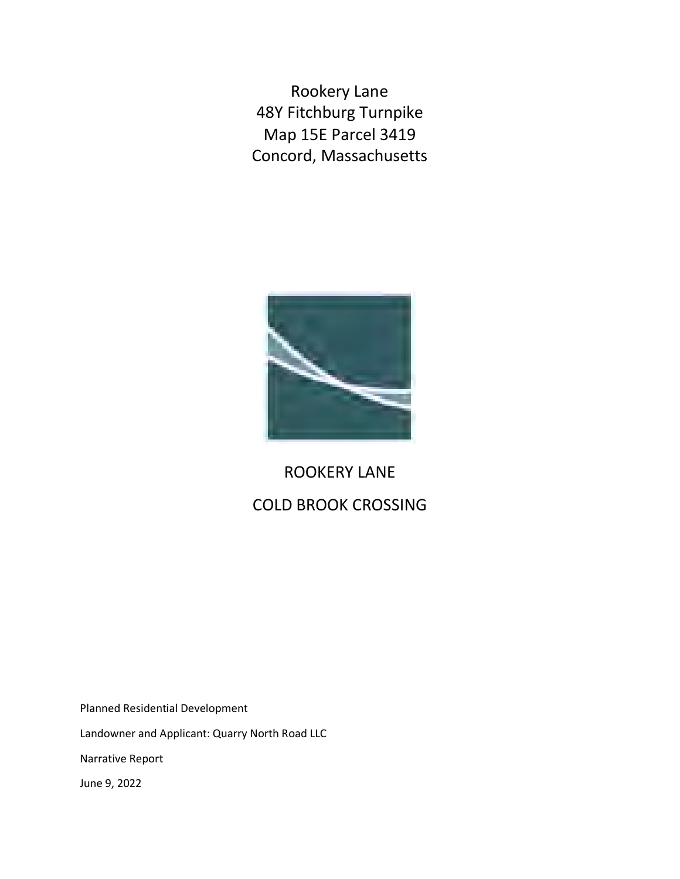Rookery Lane 48Y Fitchburg Turnpike Map 15E Parcel 3419 Concord, Massachusetts



## ROOKERY LANE COLD BROOK CROSSING

Planned Residential Development

Landowner and Applicant: Quarry North Road LLC

Narrative Report

June 9, 2022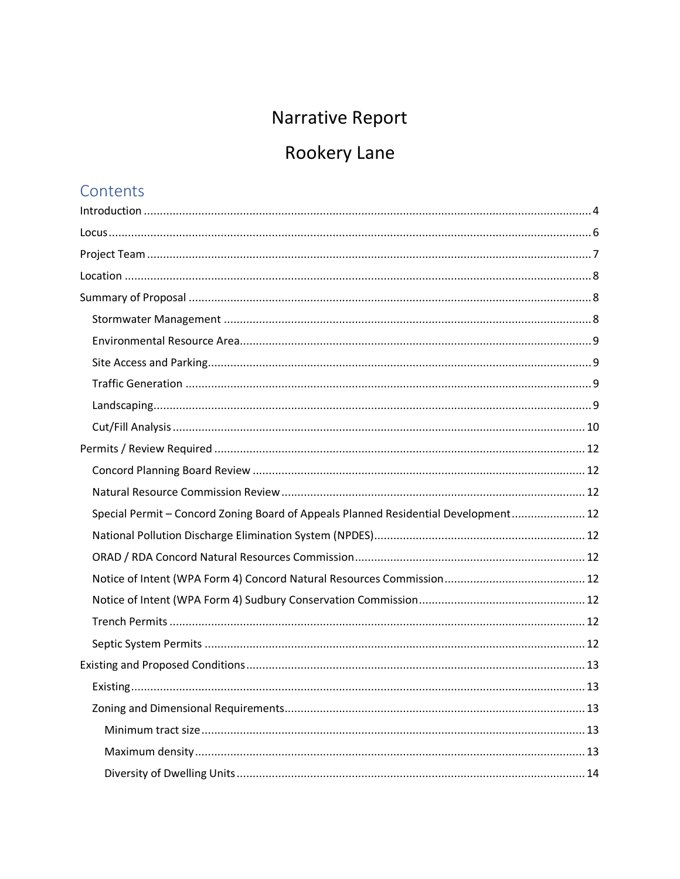## Narrative Report

# Rookery Lane

## Contents

| Special Permit - Concord Zoning Board of Appeals Planned Residential Development 12 |
|-------------------------------------------------------------------------------------|
|                                                                                     |
|                                                                                     |
|                                                                                     |
|                                                                                     |
|                                                                                     |
|                                                                                     |
|                                                                                     |
|                                                                                     |
|                                                                                     |
|                                                                                     |
|                                                                                     |
|                                                                                     |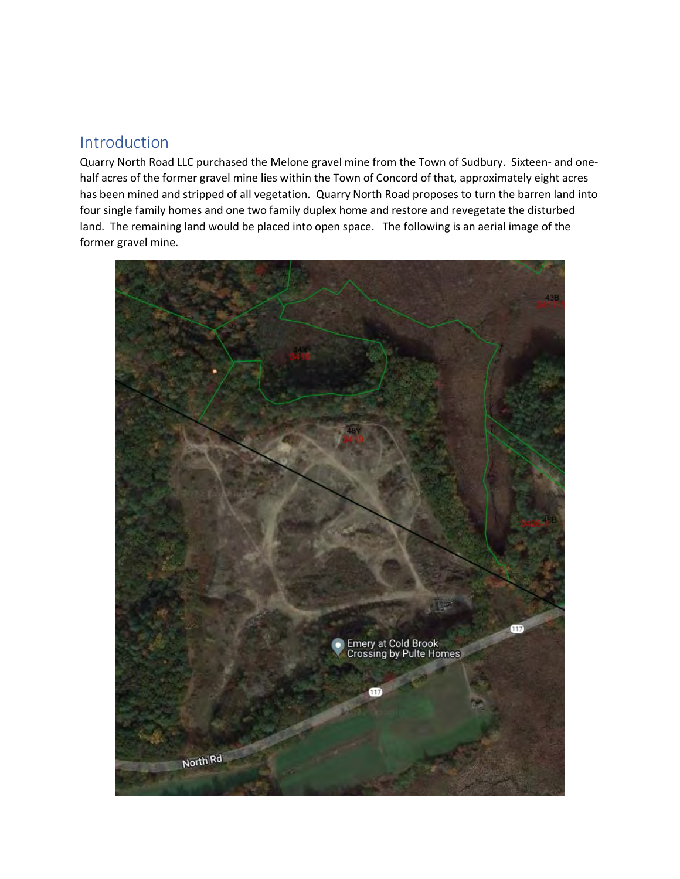### <span id="page-3-0"></span>Introduction

Quarry North Road LLC purchased the Melone gravel mine from the Town of Sudbury. Sixteen- and onehalf acres of the former gravel mine lies within the Town of Concord of that, approximately eight acres has been mined and stripped of all vegetation. Quarry North Road proposes to turn the barren land into four single family homes and one two family duplex home and restore and revegetate the disturbed land. The remaining land would be placed into open space. The following is an aerial image of the former gravel mine.

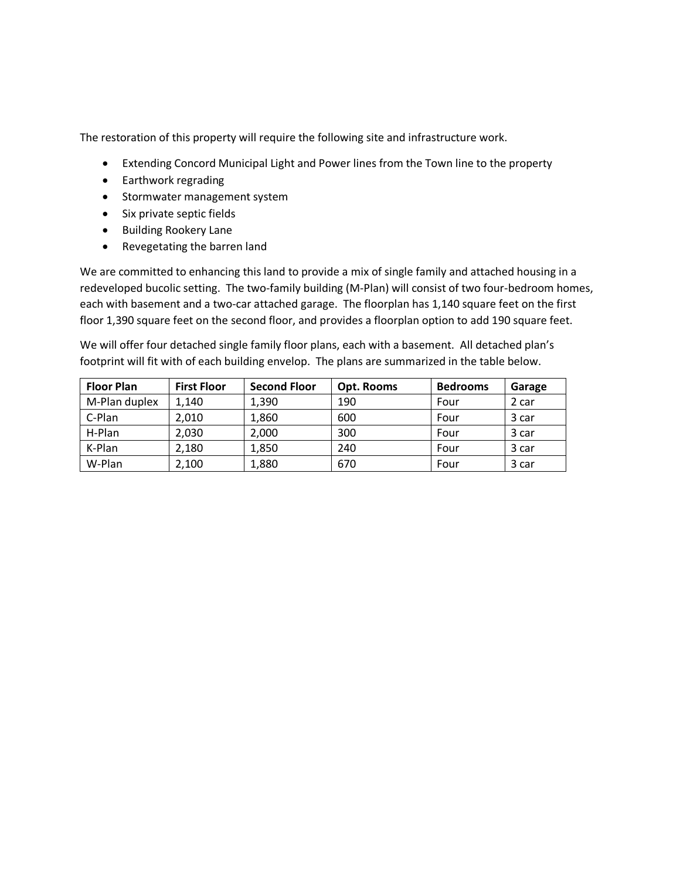The restoration of this property will require the following site and infrastructure work.

- Extending Concord Municipal Light and Power lines from the Town line to the property
- Earthwork regrading
- Stormwater management system
- Six private septic fields
- Building Rookery Lane
- Revegetating the barren land

We are committed to enhancing this land to provide a mix of single family and attached housing in a redeveloped bucolic setting. The two-family building (M-Plan) will consist of two four-bedroom homes, each with basement and a two-car attached garage. The floorplan has 1,140 square feet on the first floor 1,390 square feet on the second floor, and provides a floorplan option to add 190 square feet.

We will offer four detached single family floor plans, each with a basement. All detached plan's footprint will fit with of each building envelop. The plans are summarized in the table below.

| <b>Floor Plan</b> | <b>First Floor</b> | <b>Second Floor</b> | Opt. Rooms | <b>Bedrooms</b> | Garage |
|-------------------|--------------------|---------------------|------------|-----------------|--------|
| M-Plan duplex     | 1.140              | 1,390               | 190        | Four            | 2 car  |
| C-Plan            | 2,010              | 1,860               | 600        | Four            | 3 car  |
| H-Plan            | 2,030              | 2,000               | 300        | Four            | 3 car  |
| K-Plan            | 2,180              | 1,850               | 240        | Four            | 3 car  |
| W-Plan            | 2,100              | 1,880               | 670        | Four            | 3 car  |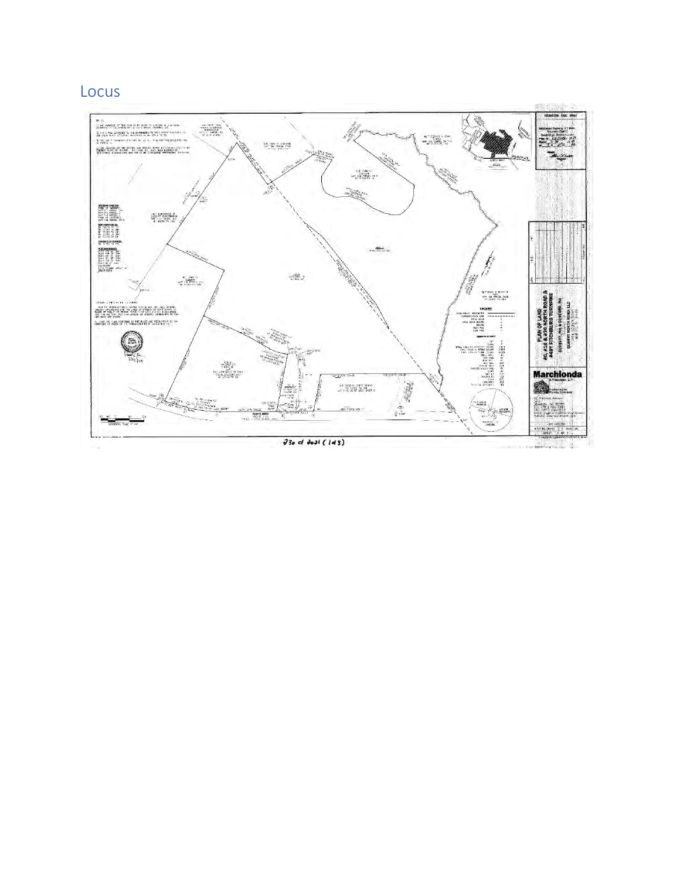### <span id="page-5-0"></span>Locus

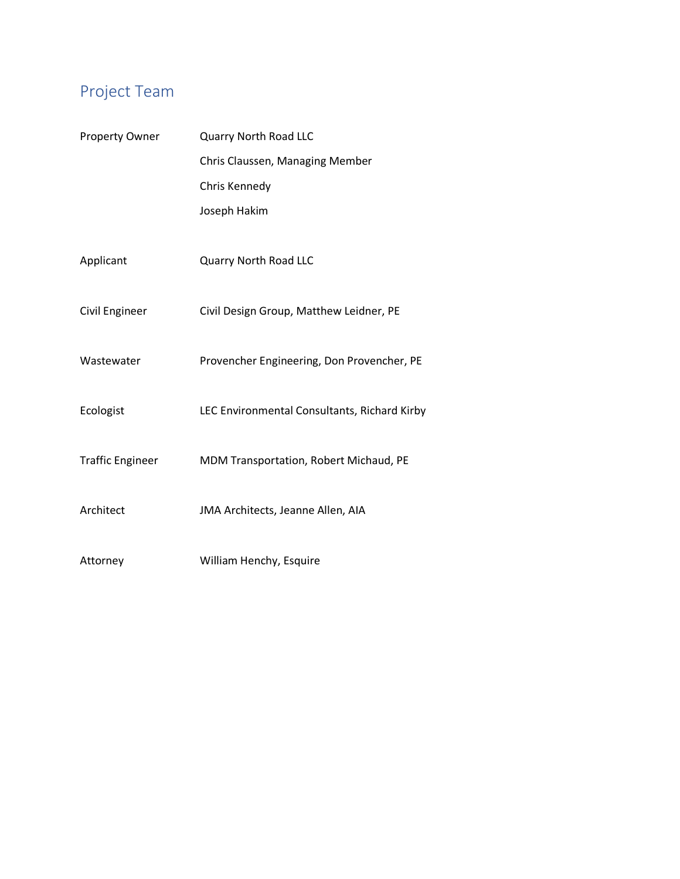## <span id="page-6-0"></span>Project Team

| Property Owner          | Quarry North Road LLC                        |  |  |  |  |
|-------------------------|----------------------------------------------|--|--|--|--|
|                         | Chris Claussen, Managing Member              |  |  |  |  |
|                         | Chris Kennedy                                |  |  |  |  |
|                         | Joseph Hakim                                 |  |  |  |  |
|                         |                                              |  |  |  |  |
| Applicant               | <b>Quarry North Road LLC</b>                 |  |  |  |  |
|                         |                                              |  |  |  |  |
| Civil Engineer          | Civil Design Group, Matthew Leidner, PE      |  |  |  |  |
|                         |                                              |  |  |  |  |
| Wastewater              | Provencher Engineering, Don Provencher, PE   |  |  |  |  |
|                         |                                              |  |  |  |  |
| Ecologist               | LEC Environmental Consultants, Richard Kirby |  |  |  |  |
| <b>Traffic Engineer</b> | MDM Transportation, Robert Michaud, PE       |  |  |  |  |
|                         |                                              |  |  |  |  |
| Architect               | JMA Architects, Jeanne Allen, AIA            |  |  |  |  |
|                         |                                              |  |  |  |  |
| Attorney                | William Henchy, Esquire                      |  |  |  |  |
|                         |                                              |  |  |  |  |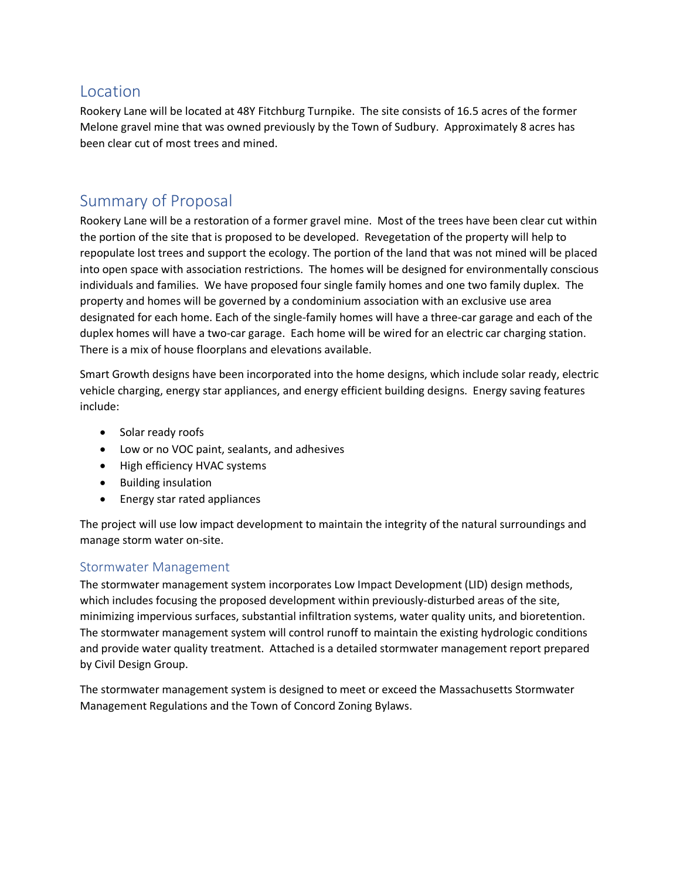### <span id="page-7-0"></span>Location

Rookery Lane will be located at 48Y Fitchburg Turnpike. The site consists of 16.5 acres of the former Melone gravel mine that was owned previously by the Town of Sudbury. Approximately 8 acres has been clear cut of most trees and mined.

### <span id="page-7-1"></span>Summary of Proposal

Rookery Lane will be a restoration of a former gravel mine. Most of the trees have been clear cut within the portion of the site that is proposed to be developed. Revegetation of the property will help to repopulate lost trees and support the ecology. The portion of the land that was not mined will be placed into open space with association restrictions. The homes will be designed for environmentally conscious individuals and families. We have proposed four single family homes and one two family duplex. The property and homes will be governed by a condominium association with an exclusive use area designated for each home. Each of the single-family homes will have a three-car garage and each of the duplex homes will have a two-car garage. Each home will be wired for an electric car charging station. There is a mix of house floorplans and elevations available.

Smart Growth designs have been incorporated into the home designs, which include solar ready, electric vehicle charging, energy star appliances, and energy efficient building designs. Energy saving features include:

- Solar ready roofs
- Low or no VOC paint, sealants, and adhesives
- High efficiency HVAC systems
- Building insulation
- Energy star rated appliances

The project will use low impact development to maintain the integrity of the natural surroundings and manage storm water on-site.

#### <span id="page-7-2"></span>Stormwater Management

The stormwater management system incorporates Low Impact Development (LID) design methods, which includes focusing the proposed development within previously-disturbed areas of the site, minimizing impervious surfaces, substantial infiltration systems, water quality units, and bioretention. The stormwater management system will control runoff to maintain the existing hydrologic conditions and provide water quality treatment. Attached is a detailed stormwater management report prepared by Civil Design Group.

The stormwater management system is designed to meet or exceed the Massachusetts Stormwater Management Regulations and the Town of Concord Zoning Bylaws.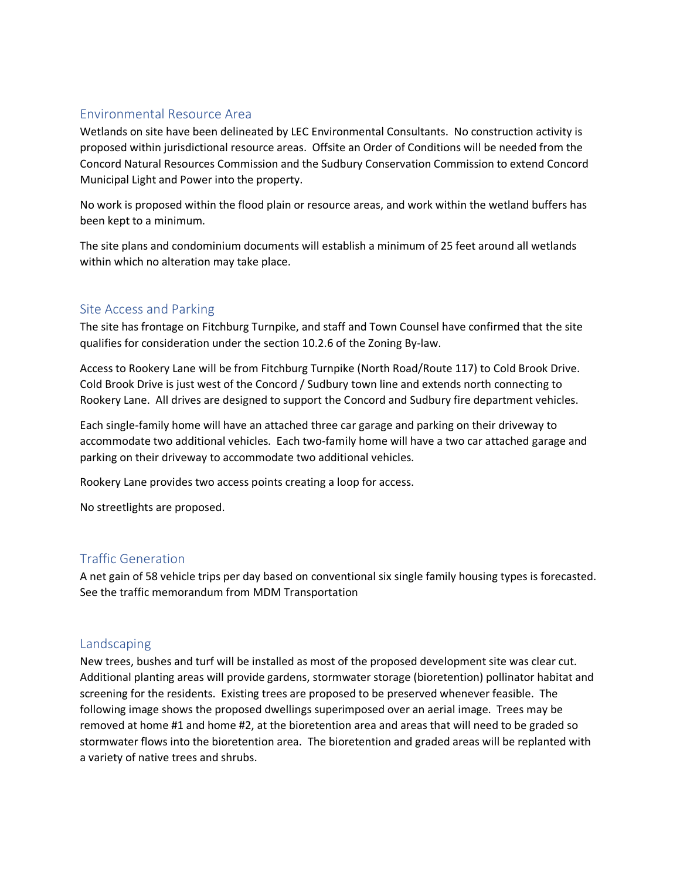#### <span id="page-8-0"></span>Environmental Resource Area

Wetlands on site have been delineated by LEC Environmental Consultants. No construction activity is proposed within jurisdictional resource areas. Offsite an Order of Conditions will be needed from the Concord Natural Resources Commission and the Sudbury Conservation Commission to extend Concord Municipal Light and Power into the property.

No work is proposed within the flood plain or resource areas, and work within the wetland buffers has been kept to a minimum.

The site plans and condominium documents will establish a minimum of 25 feet around all wetlands within which no alteration may take place.

#### <span id="page-8-1"></span>Site Access and Parking

The site has frontage on Fitchburg Turnpike, and staff and Town Counsel have confirmed that the site qualifies for consideration under the section 10.2.6 of the Zoning By-law.

Access to Rookery Lane will be from Fitchburg Turnpike (North Road/Route 117) to Cold Brook Drive. Cold Brook Drive is just west of the Concord / Sudbury town line and extends north connecting to Rookery Lane. All drives are designed to support the Concord and Sudbury fire department vehicles.

Each single-family home will have an attached three car garage and parking on their driveway to accommodate two additional vehicles. Each two-family home will have a two car attached garage and parking on their driveway to accommodate two additional vehicles.

Rookery Lane provides two access points creating a loop for access.

No streetlights are proposed.

#### <span id="page-8-2"></span>Traffic Generation

A net gain of 58 vehicle trips per day based on conventional six single family housing types is forecasted. See the traffic memorandum from MDM Transportation

#### <span id="page-8-3"></span>Landscaping

New trees, bushes and turf will be installed as most of the proposed development site was clear cut. Additional planting areas will provide gardens, stormwater storage (bioretention) pollinator habitat and screening for the residents. Existing trees are proposed to be preserved whenever feasible. The following image shows the proposed dwellings superimposed over an aerial image. Trees may be removed at home #1 and home #2, at the bioretention area and areas that will need to be graded so stormwater flows into the bioretention area. The bioretention and graded areas will be replanted with a variety of native trees and shrubs.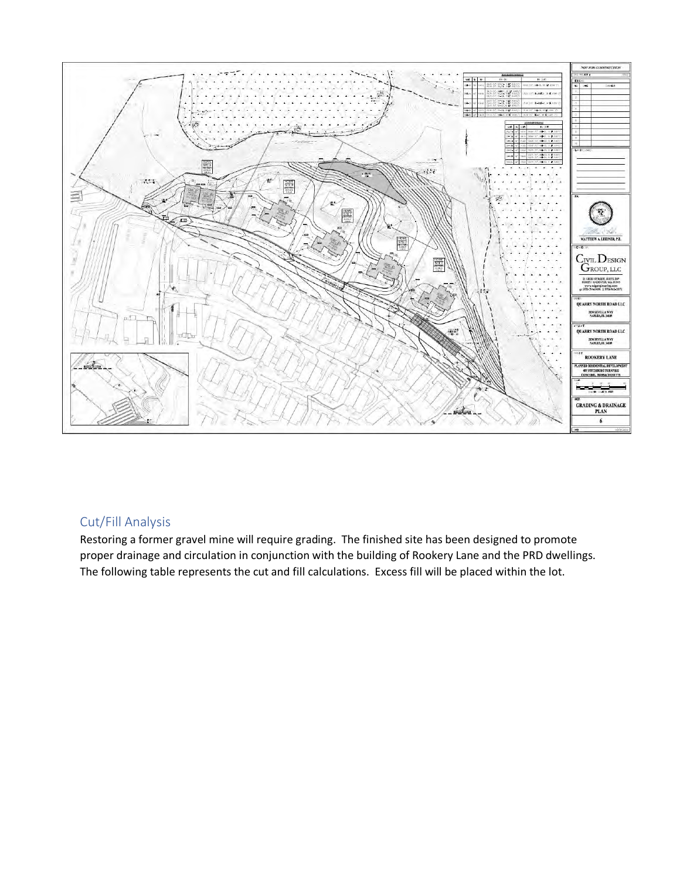

### <span id="page-9-0"></span>Cut/Fill Analysis

Restoring a former gravel mine will require grading. The finished site has been designed to promote proper drainage and circulation in conjunction with the building of Rookery Lane and the PRD dwellings. The following table represents the cut and fill calculations. Excess fill will be placed within the lot.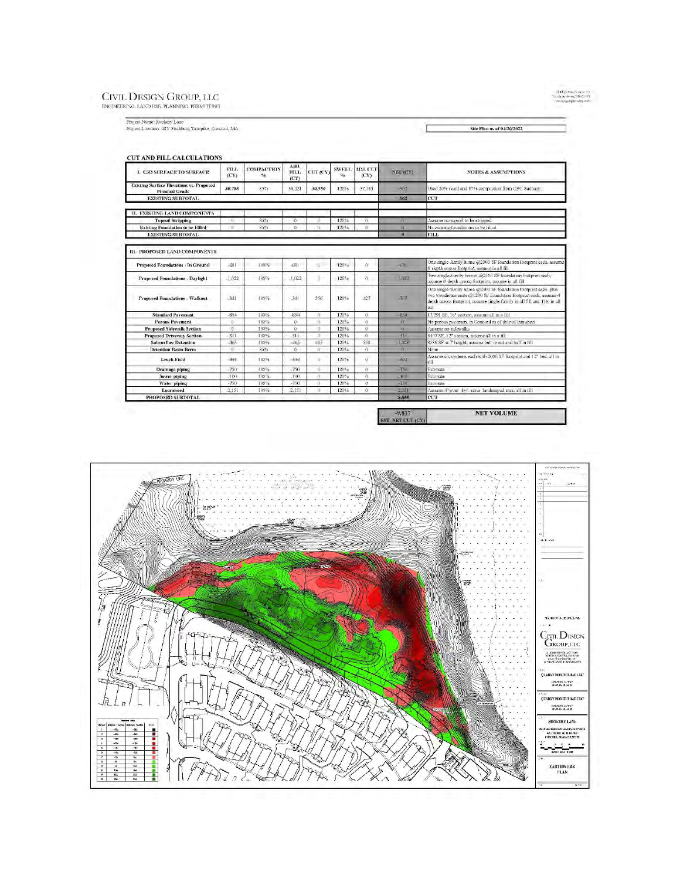#### CIVIL DESIGN GROUP, LLC RNOINERRING, LAND USE, PLANNING, PRRMITTING

 $\begin{array}{l} 31 \ \mathrm{Hg} \bar{b} \ \mathrm{Stab} \geq 34 \times 377 \\ \mathrm{both} \ \mathrm{And} \ \mathrm{see} \ \mathrm{In} \ 345 \\ \mathrm{see} \ \mathrm{the} \ \mathrm{see} \ \mathrm{the} \ \mathrm{con} \ \mathrm{the} \ \mathrm{con} \ \end{array}$ 

 $\label{eq:1} \begin{minipage}[c]{0.9\linewidth} \textbf{Project Name:} \textbf{RowKey Large} \textbf{Large:} \\ \textbf{Project Location:} \textbf{48Y Fitchburg Tumpike, Concord, MA} \end{minipage}$ 

Site Plan as of 04/26/2022

L

#### CUT AND FILL CALCULATIONS ADJ.<br>FILL  $_{\rm (CY)}^{\rm FILL}$ **COMPACTION**  $\begin{array}{c|c} \text{SWELL} & \text{ADL CLT} \\ \hline \% & \text{(CY)} \end{array}$ L C3D SURFACE TO SURFACE CUT (CY) NET  $(\mathcal{C} Y)$ NOTES & ASSUMPTIONS (CY) **Existing Surface Elevations vs. Proposed** 30,788 36,321 37,183 962 sed 20% swell and 85% compaction from CBC Sudbury  $85%$ 30,986 120% **Finished Grade**<br>**EXISTING SUBTOTAL**  $-962$  $_{\rm{CT}}$ **II. EXISTING LAND COMPONENTS** issume no topsoil to be stripped **Topsoil Stripping**  $85%$  $\eta$  $\alpha$ 120% **Existing Foundation to be F**<br>EXISTING SUBTOTAL to be Filled 85%  $\sigma$ 120% existing foundations to be filled **FILL** III. PROPOSED LAND COMPONENTS ne single-family home @2300 SF foundation footprint each, assum-**Proposed Foundations / In Ground**  $18a$ 481  $100\%$  $-681$  $\mathbf{u}$  $120%$  $\alpha$ For single-ranny nonte question of routination resignations of depth across footprint, assume in all full<br>Two single-randy homes @2300 SF foundation footprint each,<br>assume 6' depth across footprint, assume in all full Proposed Foundations - Daylight  $-1,022$  $100\%$  $-1,022$  $\bar{0}$  .  $120%$  $\alpha$  $.1/122$ Proposed Foundations - Walkout  $-341$ Tixtelli.  $341$ 356 120%  $427$  $-767$ **Standard Pavement**  $-854$ 100%  $$54$ 120%  $\mathcal{Q}$  $-854$ 17,291 SF, 16" section, assume all in a fill **Porous Pavement**  $100%$  $\overline{\mathbf{Q}}$ 120% lo perous pavement in Concord as of date of this shee  $\,$   $\,$ **Proposed Sidewalk Section** o 100%  $0$ 120%  $\alpha$ ssume no sidewalks **Proposed Driveway Section**<br>Subsurface Detention  $-311$ ince<sub>o</sub>  $-311$ 120% ið.  $311$ 8407 SF, 12" section, assume all in a fill 588 SF at 7 height; assume half in cut and half in fill 558  $46$  $100$  $-46.$ **Detention Basin Berm**  $85%$  $\Omega$ 120%  $one$ ssume six systems each with 2000 SF footprint and 12\* hed, all in  $444$  $444$ Leach Field 100%  $\bar{u}$ 120%  $\mathbf{0}$  $-444$ Drainage piping  $-750$ 100%  $-750$ 120% stimate **Sewer piping**  $-100$ 100%  $-100$ 120%  $\alpha$ dimate Water piping  $-750$  $|00\rangle$  $120\%$  $-750$ 791  $\Lambda$  saume $4^{\rm A}$  over  $\left. 4+\right\rangle$  acres [landscaped area; all in fill CUT  $-2,151$ Loam/seed<br>PROPOSED SUBTOTAL  $2,151$ 100% 120%  $8.855$  $-9,817$ **NET VOLUME** EST. NET CUT (CY)

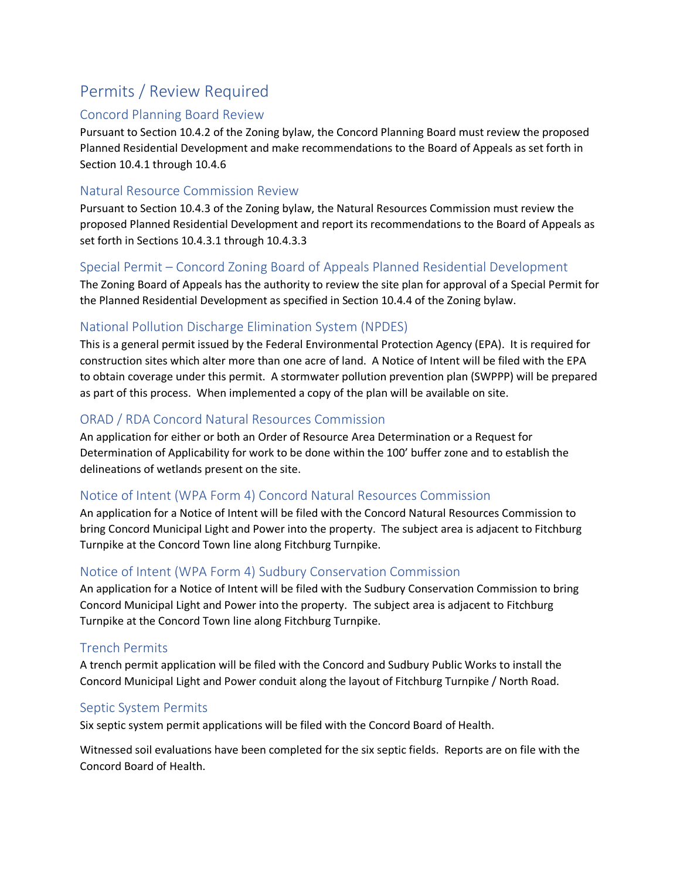### <span id="page-11-0"></span>Permits / Review Required

#### <span id="page-11-1"></span>Concord Planning Board Review

Pursuant to Section 10.4.2 of the Zoning bylaw, the Concord Planning Board must review the proposed Planned Residential Development and make recommendations to the Board of Appeals as set forth in Section 10.4.1 through 10.4.6

#### <span id="page-11-2"></span>Natural Resource Commission Review

Pursuant to Section 10.4.3 of the Zoning bylaw, the Natural Resources Commission must review the proposed Planned Residential Development and report its recommendations to the Board of Appeals as set forth in Sections 10.4.3.1 through 10.4.3.3

#### <span id="page-11-3"></span>Special Permit – Concord Zoning Board of Appeals Planned Residential Development

The Zoning Board of Appeals has the authority to review the site plan for approval of a Special Permit for the Planned Residential Development as specified in Section 10.4.4 of the Zoning bylaw.

### <span id="page-11-4"></span>National Pollution Discharge Elimination System (NPDES)

This is a general permit issued by the Federal Environmental Protection Agency (EPA). It is required for construction sites which alter more than one acre of land. A Notice of Intent will be filed with the EPA to obtain coverage under this permit. A stormwater pollution prevention plan (SWPPP) will be prepared as part of this process. When implemented a copy of the plan will be available on site.

### <span id="page-11-5"></span>ORAD / RDA Concord Natural Resources Commission

An application for either or both an Order of Resource Area Determination or a Request for Determination of Applicability for work to be done within the 100' buffer zone and to establish the delineations of wetlands present on the site.

#### <span id="page-11-6"></span>Notice of Intent (WPA Form 4) Concord Natural Resources Commission

An application for a Notice of Intent will be filed with the Concord Natural Resources Commission to bring Concord Municipal Light and Power into the property. The subject area is adjacent to Fitchburg Turnpike at the Concord Town line along Fitchburg Turnpike.

#### <span id="page-11-7"></span>Notice of Intent (WPA Form 4) Sudbury Conservation Commission

An application for a Notice of Intent will be filed with the Sudbury Conservation Commission to bring Concord Municipal Light and Power into the property. The subject area is adjacent to Fitchburg Turnpike at the Concord Town line along Fitchburg Turnpike.

#### <span id="page-11-8"></span>Trench Permits

A trench permit application will be filed with the Concord and Sudbury Public Works to install the Concord Municipal Light and Power conduit along the layout of Fitchburg Turnpike / North Road.

### <span id="page-11-9"></span>Septic System Permits

Six septic system permit applications will be filed with the Concord Board of Health.

Witnessed soil evaluations have been completed for the six septic fields. Reports are on file with the Concord Board of Health.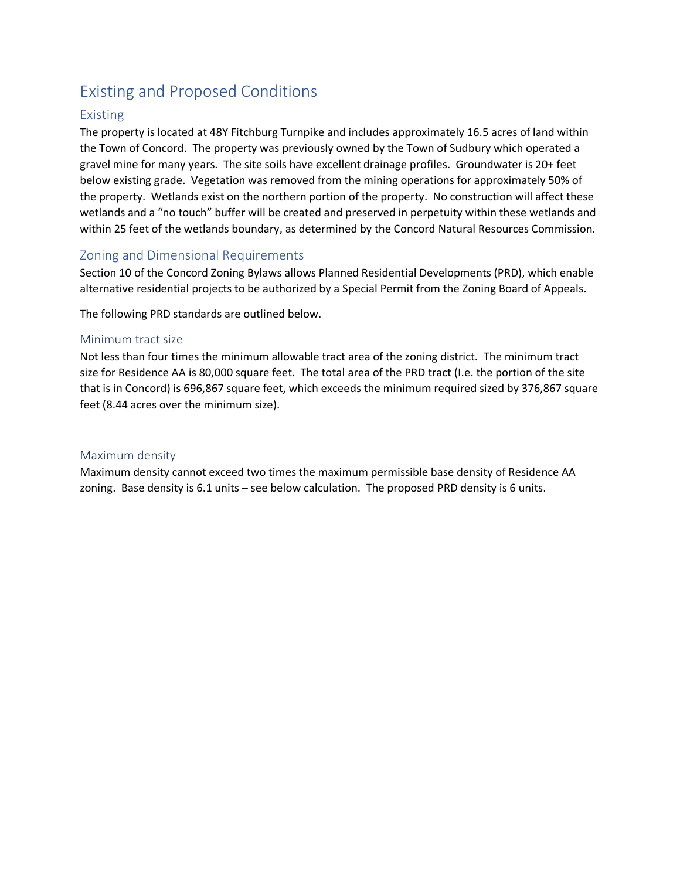### <span id="page-12-0"></span>Existing and Proposed Conditions

#### <span id="page-12-1"></span>Existing

The property is located at 48Y Fitchburg Turnpike and includes approximately 16.5 acres of land within the Town of Concord. The property was previously owned by the Town of Sudbury which operated a gravel mine for many years. The site soils have excellent drainage profiles. Groundwater is 20+ feet below existing grade. Vegetation was removed from the mining operations for approximately 50% of the property. Wetlands exist on the northern portion of the property. No construction will affect these wetlands and a "no touch" buffer will be created and preserved in perpetuity within these wetlands and within 25 feet of the wetlands boundary, as determined by the Concord Natural Resources Commission.

#### <span id="page-12-2"></span>Zoning and Dimensional Requirements

Section 10 of the Concord Zoning Bylaws allows Planned Residential Developments (PRD), which enable alternative residential projects to be authorized by a Special Permit from the Zoning Board of Appeals.

The following PRD standards are outlined below.

#### <span id="page-12-3"></span>Minimum tract size

Not less than four times the minimum allowable tract area of the zoning district. The minimum tract size for Residence AA is 80,000 square feet. The total area of the PRD tract (I.e. the portion of the site that is in Concord) is 696,867 square feet, which exceeds the minimum required sized by 376,867 square feet (8.44 acres over the minimum size).

#### <span id="page-12-4"></span>Maximum density

Maximum density cannot exceed two times the maximum permissible base density of Residence AA zoning. Base density is 6.1 units – see below calculation. The proposed PRD density is 6 units.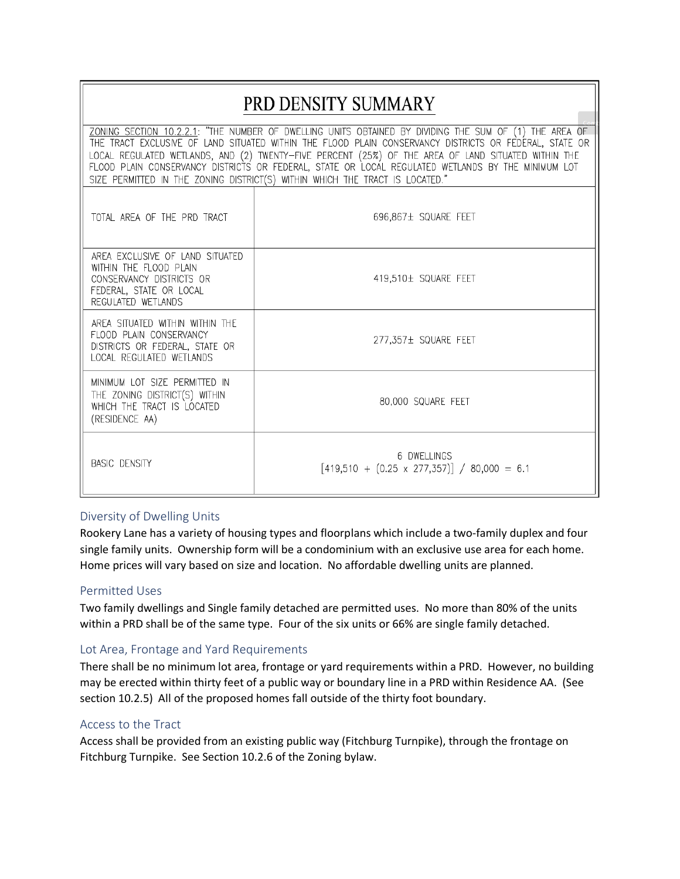## PRD DENSITY SUMMARY

| ZONING SECTION 10.2.2.1: "THE NUMBER OF DWELLING UNITS OBTAINED BY DIVIDING THE SUM OF (1) THE AREA OF<br>THE TRACT EXCLUSIVE OF LAND SITUATED WITHIN THE FLOOD PLAIN CONSERVANCY DISTRICTS OR FEDERAL, STATE OR<br>LOCAL REGULATED WETLANDS, AND (2) TWENTY-FIVE PERCENT (25%) OF THE AREA OF LAND SITUATED WITHIN THE<br>FLOOD PLAIN CONSERVANCY DISTRICTS OR FEDERAL, STATE OR LOCAL REGULATED WETLANDS BY THE MINIMUM LOT<br>SIZE PERMITTED IN THE ZONING DISTRICT(S) WITHIN WHICH THE TRACT IS LOCATED." |                                                                   |  |  |  |  |
|---------------------------------------------------------------------------------------------------------------------------------------------------------------------------------------------------------------------------------------------------------------------------------------------------------------------------------------------------------------------------------------------------------------------------------------------------------------------------------------------------------------|-------------------------------------------------------------------|--|--|--|--|
| TOTAL AREA OF THE PRD TRACT                                                                                                                                                                                                                                                                                                                                                                                                                                                                                   | 696,867± SQUARE FEET                                              |  |  |  |  |
| AREA EXCLUSIVE OF LAND SITUATED<br>WITHIN THE FLOOD PLAIN<br>CONSERVANCY DISTRICTS OR<br>FEDERAL, STATE OR LOCAL<br>REGULATED WETLANDS                                                                                                                                                                                                                                                                                                                                                                        | 419.510± SQUARE FEET                                              |  |  |  |  |
| AREA SITUATED WITHIN WITHIN THE<br>FLOOD PLAIN CONSERVANCY<br>DISTRICTS OR FEDERAL, STATE OR<br>LOCAL REGULATED WETLANDS                                                                                                                                                                                                                                                                                                                                                                                      | 277,357± SQUARE FEET                                              |  |  |  |  |
| MINIMUM LOT SIZE PERMITTED IN<br>THE ZONING DISTRICT(S) WITHIN<br>WHICH THE TRACT IS LOCATED<br>(RESIDENCE AA)                                                                                                                                                                                                                                                                                                                                                                                                | 80,000 SQUARE FEET                                                |  |  |  |  |
| <b>BASIC DENSITY</b>                                                                                                                                                                                                                                                                                                                                                                                                                                                                                          | 6 DWFLLINGS<br>$[419,510 + (0.25 \times 277,357)] / 80,000 = 6.1$ |  |  |  |  |

#### <span id="page-13-0"></span>Diversity of Dwelling Units

Rookery Lane has a variety of housing types and floorplans which include a two-family duplex and four single family units. Ownership form will be a condominium with an exclusive use area for each home. Home prices will vary based on size and location. No affordable dwelling units are planned.

#### <span id="page-13-1"></span>Permitted Uses

Two family dwellings and Single family detached are permitted uses. No more than 80% of the units within a PRD shall be of the same type. Four of the six units or 66% are single family detached.

#### <span id="page-13-2"></span>Lot Area, Frontage and Yard Requirements

There shall be no minimum lot area, frontage or yard requirements within a PRD. However, no building may be erected within thirty feet of a public way or boundary line in a PRD within Residence AA. (See section 10.2.5) All of the proposed homes fall outside of the thirty foot boundary.

#### <span id="page-13-3"></span>Access to the Tract

Access shall be provided from an existing public way (Fitchburg Turnpike), through the frontage on Fitchburg Turnpike. See Section 10.2.6 of the Zoning bylaw.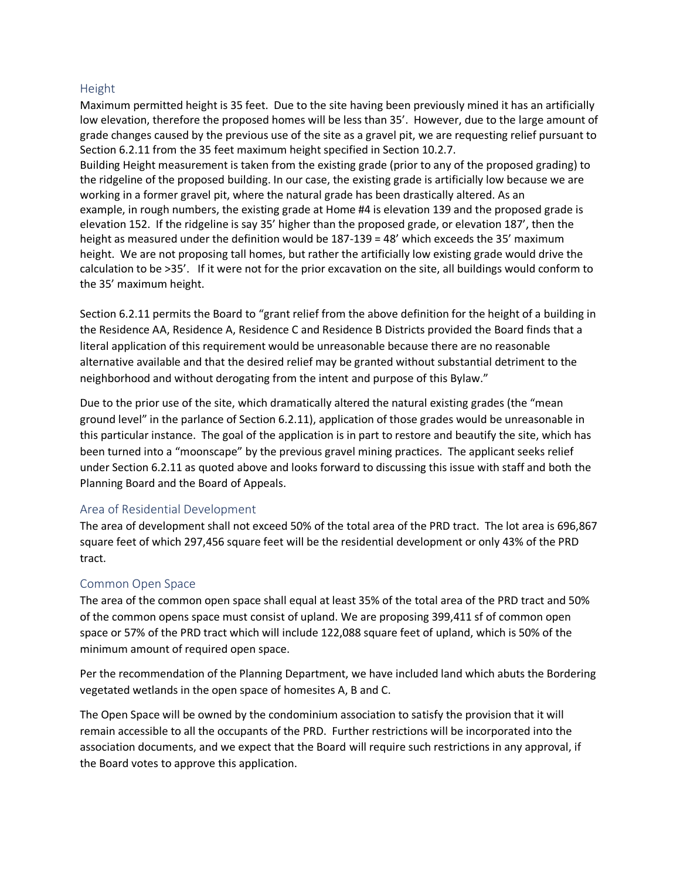#### <span id="page-14-0"></span>Height

Maximum permitted height is 35 feet. Due to the site having been previously mined it has an artificially low elevation, therefore the proposed homes will be less than 35'. However, due to the large amount of grade changes caused by the previous use of the site as a gravel pit, we are requesting relief pursuant to Section 6.2.11 from the 35 feet maximum height specified in Section 10.2.7.

Building Height measurement is taken from the existing grade (prior to any of the proposed grading) to the ridgeline of the proposed building. In our case, the existing grade is artificially low because we are working in a former gravel pit, where the natural grade has been drastically altered. As an example, in rough numbers, the existing grade at Home #4 is elevation 139 and the proposed grade is elevation 152. If the ridgeline is say 35' higher than the proposed grade, or elevation 187', then the height as measured under the definition would be 187-139 = 48' which exceeds the 35' maximum height. We are not proposing tall homes, but rather the artificially low existing grade would drive the calculation to be >35'. If it were not for the prior excavation on the site, all buildings would conform to the 35' maximum height.

Section 6.2.11 permits the Board to "grant relief from the above definition for the height of a building in the Residence AA, Residence A, Residence C and Residence B Districts provided the Board finds that a literal application of this requirement would be unreasonable because there are no reasonable alternative available and that the desired relief may be granted without substantial detriment to the neighborhood and without derogating from the intent and purpose of this Bylaw."

Due to the prior use of the site, which dramatically altered the natural existing grades (the "mean ground level" in the parlance of Section 6.2.11), application of those grades would be unreasonable in this particular instance. The goal of the application is in part to restore and beautify the site, which has been turned into a "moonscape" by the previous gravel mining practices. The applicant seeks relief under Section 6.2.11 as quoted above and looks forward to discussing this issue with staff and both the Planning Board and the Board of Appeals.

#### <span id="page-14-1"></span>Area of Residential Development

The area of development shall not exceed 50% of the total area of the PRD tract. The lot area is 696,867 square feet of which 297,456 square feet will be the residential development or only 43% of the PRD tract.

#### <span id="page-14-2"></span>Common Open Space

The area of the common open space shall equal at least 35% of the total area of the PRD tract and 50% of the common opens space must consist of upland. We are proposing 399,411 sf of common open space or 57% of the PRD tract which will include 122,088 square feet of upland, which is 50% of the minimum amount of required open space.

Per the recommendation of the Planning Department, we have included land which abuts the Bordering vegetated wetlands in the open space of homesites A, B and C.

The Open Space will be owned by the condominium association to satisfy the provision that it will remain accessible to all the occupants of the PRD. Further restrictions will be incorporated into the association documents, and we expect that the Board will require such restrictions in any approval, if the Board votes to approve this application.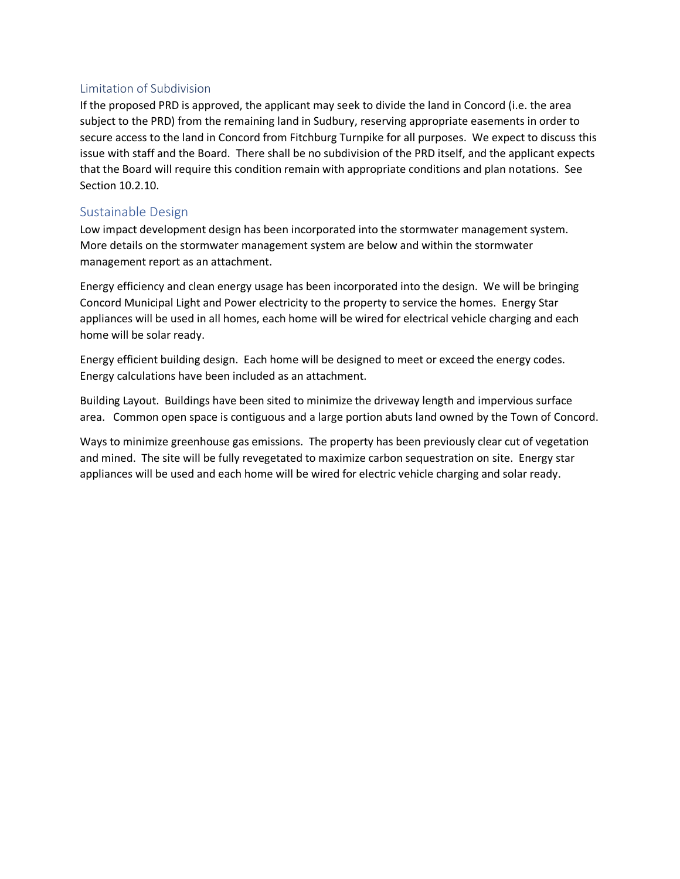#### <span id="page-15-0"></span>Limitation of Subdivision

If the proposed PRD is approved, the applicant may seek to divide the land in Concord (i.e. the area subject to the PRD) from the remaining land in Sudbury, reserving appropriate easements in order to secure access to the land in Concord from Fitchburg Turnpike for all purposes. We expect to discuss this issue with staff and the Board. There shall be no subdivision of the PRD itself, and the applicant expects that the Board will require this condition remain with appropriate conditions and plan notations. See Section 10.2.10.

#### <span id="page-15-1"></span>Sustainable Design

Low impact development design has been incorporated into the stormwater management system. More details on the stormwater management system are below and within the stormwater management report as an attachment.

Energy efficiency and clean energy usage has been incorporated into the design. We will be bringing Concord Municipal Light and Power electricity to the property to service the homes. Energy Star appliances will be used in all homes, each home will be wired for electrical vehicle charging and each home will be solar ready.

Energy efficient building design. Each home will be designed to meet or exceed the energy codes. Energy calculations have been included as an attachment.

Building Layout. Buildings have been sited to minimize the driveway length and impervious surface area. Common open space is contiguous and a large portion abuts land owned by the Town of Concord.

Ways to minimize greenhouse gas emissions. The property has been previously clear cut of vegetation and mined. The site will be fully revegetated to maximize carbon sequestration on site. Energy star appliances will be used and each home will be wired for electric vehicle charging and solar ready.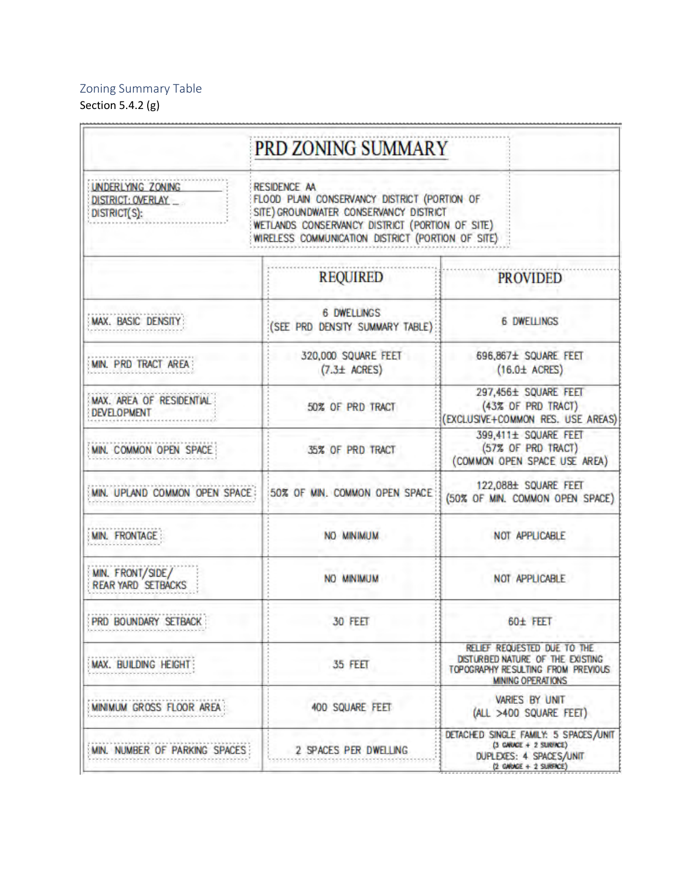### <span id="page-16-0"></span>Zoning Summary Table

Section 5.4.2 (g)

|                                                               | PRD ZONING SUMMARY                                                                                                                                                                                                    |                                                                                                                                   |  |  |
|---------------------------------------------------------------|-----------------------------------------------------------------------------------------------------------------------------------------------------------------------------------------------------------------------|-----------------------------------------------------------------------------------------------------------------------------------|--|--|
| <b>UNDERLYING ZONING</b><br>DISTRICT: OVERLAY<br>DISTRICT(S): | <b>RESIDENCE AA</b><br>FLOOD PLAIN CONSERVANCY DISTRICT (PORTION OF<br>SITE) GROUNDWATER CONSERVANCY DISTRICT<br>WETLANDS CONSERVANCY DISTRICT (PORTION OF SITE)<br>WIRELESS COMMUNICATION DISTRICT (PORTION OF SITE) |                                                                                                                                   |  |  |
|                                                               | <b>REQUIRED</b>                                                                                                                                                                                                       | <b>PROVIDED</b>                                                                                                                   |  |  |
| MAX. BASIC DENSITY:                                           | <b>6 DWELLINGS</b><br>(SEE PRD DENSITY SUMMARY TABLE)                                                                                                                                                                 | <b>6 DWELLINGS</b>                                                                                                                |  |  |
| MIN. PRD TRACT AREA                                           | 320,000 SQUARE FEET<br>$(7.3 \pm ACRES)$                                                                                                                                                                              | 696,867± SQUARE FEET<br>$(16.0 \pm \text{ACRES})$                                                                                 |  |  |
| MAX. AREA OF RESIDENTIAL<br><b>DEVELOPMENT</b>                | 50% OF PRD TRACT                                                                                                                                                                                                      | 297,456± SQUARE FEET<br>(43% OF PRD TRACT)<br>(EXCLUSIVE+COMMON RES. USE AREAS)                                                   |  |  |
| MIN. COMMON OPEN SPACE                                        | 35% OF PRD TRACT                                                                                                                                                                                                      | 399,411± SQUARE FEET<br>(57% OF PRD TRACT)<br>(COMMON OPEN SPACE USE AREA)                                                        |  |  |
| MIN. UPLAND COMMON OPEN SPACE:                                | 50% OF MIN. COMMON OPEN SPACE                                                                                                                                                                                         | 122,088± SQUARE FEET<br>(50% OF MIN. COMMON OPEN SPACE)                                                                           |  |  |
| <b>MIN. FRONTAGE:</b>                                         | NO MINIMUM                                                                                                                                                                                                            | NOT APPLICABLE                                                                                                                    |  |  |
| MIN. FRONT/SIDE/<br><b>REAR YARD SETBACKS</b>                 | NO MINIMUM                                                                                                                                                                                                            | NOT APPLICABLE                                                                                                                    |  |  |
| PRD BOUNDARY SETBACK                                          | 30 FEET                                                                                                                                                                                                               | 60± FEET                                                                                                                          |  |  |
| MAX. BUILDING HEIGHT:                                         | 35 FEET                                                                                                                                                                                                               | RELIEF REQUESTED DUE TO THE<br>DISTURBED NATURE OF THE EXISTING<br>TOPOGRAPHY RESULTING FROM PREVIOUS<br><b>MINING OPERATIONS</b> |  |  |
| MINIMUM GROSS FLOOR AREA                                      | <b>400 SQUARE FEET</b>                                                                                                                                                                                                | <b>VARIES BY UNIT</b><br>(ALL >400 SQUARE FEET)                                                                                   |  |  |
| MIN. NUMBER OF PARKING SPACES:                                | 2 SPACES PER DWELLING                                                                                                                                                                                                 | DETACHED SINGLE FAMILY: 5 SPACES/UNIT<br>(3 GARAGE + 2 SURFACE)<br>DUPLEXES: 4 SPACES/UNIT<br>$(2 \tGMMGE + 2 \tSlRFACE)$         |  |  |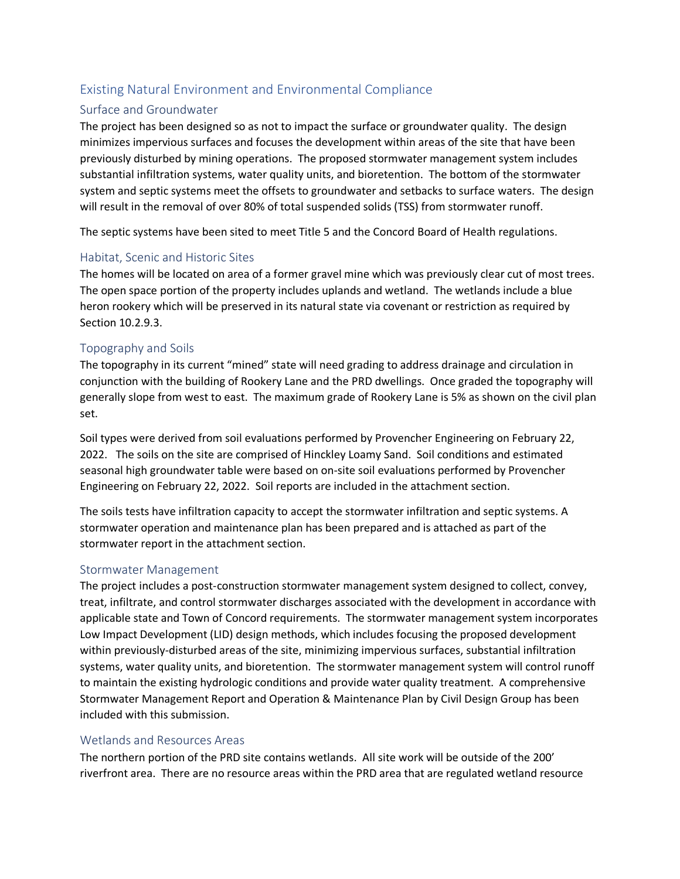### <span id="page-17-0"></span>Existing Natural Environment and Environmental Compliance

#### <span id="page-17-1"></span>Surface and Groundwater

The project has been designed so as not to impact the surface or groundwater quality. The design minimizes impervious surfaces and focuses the development within areas of the site that have been previously disturbed by mining operations. The proposed stormwater management system includes substantial infiltration systems, water quality units, and bioretention. The bottom of the stormwater system and septic systems meet the offsets to groundwater and setbacks to surface waters. The design will result in the removal of over 80% of total suspended solids (TSS) from stormwater runoff.

The septic systems have been sited to meet Title 5 and the Concord Board of Health regulations.

#### <span id="page-17-2"></span>Habitat, Scenic and Historic Sites

The homes will be located on area of a former gravel mine which was previously clear cut of most trees. The open space portion of the property includes uplands and wetland. The wetlands include a blue heron rookery which will be preserved in its natural state via covenant or restriction as required by Section 10.2.9.3.

#### <span id="page-17-3"></span>Topography and Soils

The topography in its current "mined" state will need grading to address drainage and circulation in conjunction with the building of Rookery Lane and the PRD dwellings. Once graded the topography will generally slope from west to east. The maximum grade of Rookery Lane is 5% as shown on the civil plan set.

Soil types were derived from soil evaluations performed by Provencher Engineering on February 22, 2022. The soils on the site are comprised of Hinckley Loamy Sand. Soil conditions and estimated seasonal high groundwater table were based on on-site soil evaluations performed by Provencher Engineering on February 22, 2022. Soil reports are included in the attachment section.

The soils tests have infiltration capacity to accept the stormwater infiltration and septic systems. A stormwater operation and maintenance plan has been prepared and is attached as part of the stormwater report in the attachment section.

#### <span id="page-17-4"></span>Stormwater Management

The project includes a post-construction stormwater management system designed to collect, convey, treat, infiltrate, and control stormwater discharges associated with the development in accordance with applicable state and Town of Concord requirements. The stormwater management system incorporates Low Impact Development (LID) design methods, which includes focusing the proposed development within previously-disturbed areas of the site, minimizing impervious surfaces, substantial infiltration systems, water quality units, and bioretention. The stormwater management system will control runoff to maintain the existing hydrologic conditions and provide water quality treatment. A comprehensive Stormwater Management Report and Operation & Maintenance Plan by Civil Design Group has been included with this submission.

#### <span id="page-17-5"></span>Wetlands and Resources Areas

The northern portion of the PRD site contains wetlands. All site work will be outside of the 200' riverfront area. There are no resource areas within the PRD area that are regulated wetland resource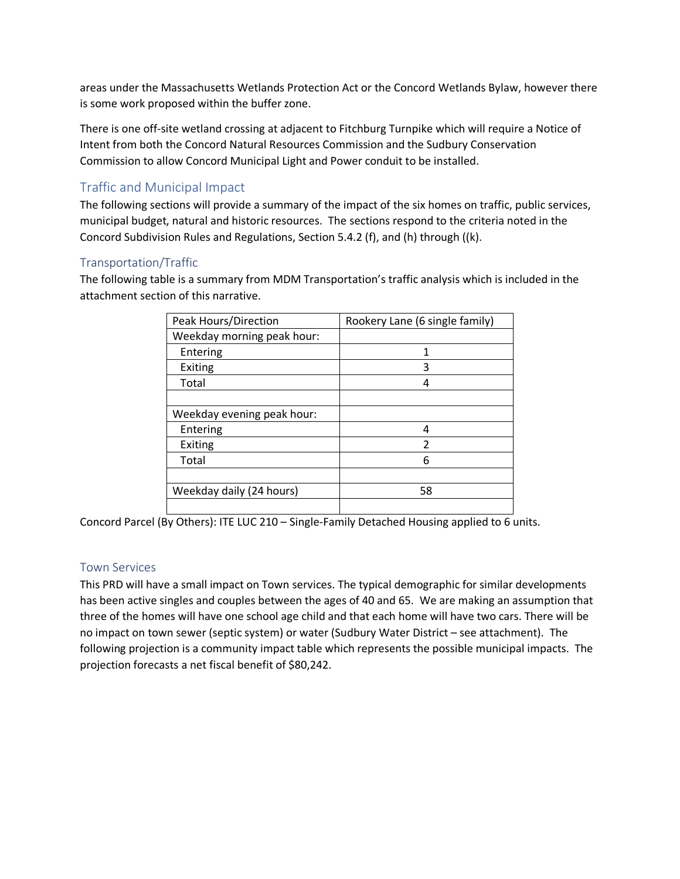areas under the Massachusetts Wetlands Protection Act or the Concord Wetlands Bylaw, however there is some work proposed within the buffer zone.

There is one off-site wetland crossing at adjacent to Fitchburg Turnpike which will require a Notice of Intent from both the Concord Natural Resources Commission and the Sudbury Conservation Commission to allow Concord Municipal Light and Power conduit to be installed.

### <span id="page-18-0"></span>Traffic and Municipal Impact

The following sections will provide a summary of the impact of the six homes on traffic, public services, municipal budget, natural and historic resources. The sections respond to the criteria noted in the Concord Subdivision Rules and Regulations, Section 5.4.2 (f), and (h) through ((k).

#### <span id="page-18-1"></span>Transportation/Traffic

The following table is a summary from MDM Transportation's traffic analysis which is included in the attachment section of this narrative.

| Peak Hours/Direction       | Rookery Lane (6 single family) |
|----------------------------|--------------------------------|
| Weekday morning peak hour: |                                |
| Entering                   | 1                              |
| Exiting                    | 3                              |
| Total                      |                                |
|                            |                                |
| Weekday evening peak hour: |                                |
| Entering                   |                                |
| Exiting                    | $\mathfrak{p}$                 |
| Total                      | 6                              |
|                            |                                |
| Weekday daily (24 hours)   | 58                             |
|                            |                                |

Concord Parcel (By Others): ITE LUC 210 – Single-Family Detached Housing applied to 6 units.

#### <span id="page-18-2"></span>Town Services

This PRD will have a small impact on Town services. The typical demographic for similar developments has been active singles and couples between the ages of 40 and 65. We are making an assumption that three of the homes will have one school age child and that each home will have two cars. There will be no impact on town sewer (septic system) or water (Sudbury Water District – see attachment). The following projection is a community impact table which represents the possible municipal impacts. The projection forecasts a net fiscal benefit of \$80,242.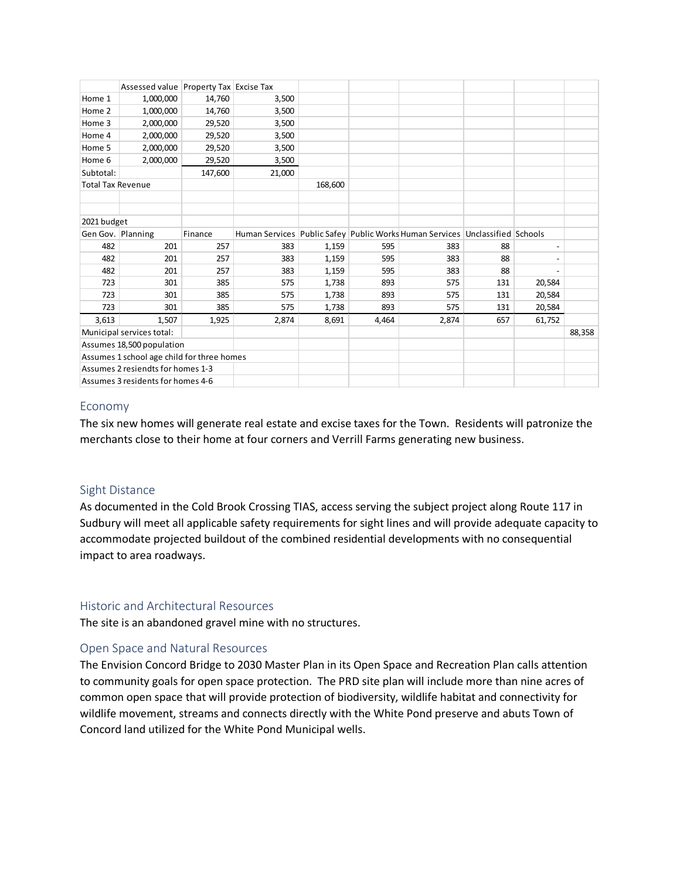|                                            | Assessed value Property Tax Excise Tax |         |        |         |       |                                                                              |     |                          |  |
|--------------------------------------------|----------------------------------------|---------|--------|---------|-------|------------------------------------------------------------------------------|-----|--------------------------|--|
| Home 1                                     | 1,000,000                              | 14,760  | 3,500  |         |       |                                                                              |     |                          |  |
| Home 2                                     | 1,000,000                              | 14,760  | 3,500  |         |       |                                                                              |     |                          |  |
| Home 3                                     | 2,000,000                              | 29,520  | 3,500  |         |       |                                                                              |     |                          |  |
| Home 4                                     | 2,000,000                              | 29,520  | 3,500  |         |       |                                                                              |     |                          |  |
| Home 5                                     | 2,000,000                              | 29,520  | 3,500  |         |       |                                                                              |     |                          |  |
| Home 6                                     | 2,000,000                              | 29,520  | 3,500  |         |       |                                                                              |     |                          |  |
| Subtotal:                                  |                                        | 147,600 | 21,000 |         |       |                                                                              |     |                          |  |
| <b>Total Tax Revenue</b>                   |                                        |         |        | 168,600 |       |                                                                              |     |                          |  |
|                                            |                                        |         |        |         |       |                                                                              |     |                          |  |
|                                            |                                        |         |        |         |       |                                                                              |     |                          |  |
| 2021 budget                                |                                        |         |        |         |       |                                                                              |     |                          |  |
| Gen Gov. Planning                          |                                        | Finance |        |         |       | Human Services Public Safey Public Works Human Services Unclassified Schools |     |                          |  |
| 482                                        | 201                                    | 257     | 383    | 1,159   | 595   | 383                                                                          | 88  | $\overline{\phantom{0}}$ |  |
| 482                                        | 201                                    | 257     | 383    | 1,159   | 595   | 383                                                                          | 88  |                          |  |
| 482                                        | 201                                    | 257     | 383    | 1,159   | 595   | 383                                                                          | 88  |                          |  |
| 723                                        | 301                                    | 385     | 575    | 1,738   | 893   | 575                                                                          | 131 | 20,584                   |  |
| 723                                        | 301                                    | 385     | 575    | 1,738   | 893   | 575                                                                          | 131 | 20,584                   |  |
| 723                                        | 301                                    | 385     | 575    | 1,738   | 893   | 575                                                                          | 131 | 20,584                   |  |
| 3,613                                      | 1,507                                  | 1,925   | 2,874  | 8,691   | 4,464 | 2,874                                                                        | 657 | 61,752                   |  |
| Municipal services total:                  |                                        |         |        |         |       |                                                                              |     | 88,358                   |  |
| Assumes 18,500 population                  |                                        |         |        |         |       |                                                                              |     |                          |  |
| Assumes 1 school age child for three homes |                                        |         |        |         |       |                                                                              |     |                          |  |
| Assumes 2 resiendts for homes 1-3          |                                        |         |        |         |       |                                                                              |     |                          |  |
| Assumes 3 residents for homes 4-6          |                                        |         |        |         |       |                                                                              |     |                          |  |

#### <span id="page-19-0"></span>Economy

The six new homes will generate real estate and excise taxes for the Town. Residents will patronize the merchants close to their home at four corners and Verrill Farms generating new business.

#### <span id="page-19-1"></span>Sight Distance

As documented in the Cold Brook Crossing TIAS, access serving the subject project along Route 117 in Sudbury will meet all applicable safety requirements for sight lines and will provide adequate capacity to accommodate projected buildout of the combined residential developments with no consequential impact to area roadways.

#### <span id="page-19-2"></span>Historic and Architectural Resources

The site is an abandoned gravel mine with no structures.

#### <span id="page-19-3"></span>Open Space and Natural Resources

The Envision Concord Bridge to 2030 Master Plan in its Open Space and Recreation Plan calls attention to community goals for open space protection. The PRD site plan will include more than nine acres of common open space that will provide protection of biodiversity, wildlife habitat and connectivity for wildlife movement, streams and connects directly with the White Pond preserve and abuts Town of Concord land utilized for the White Pond Municipal wells.